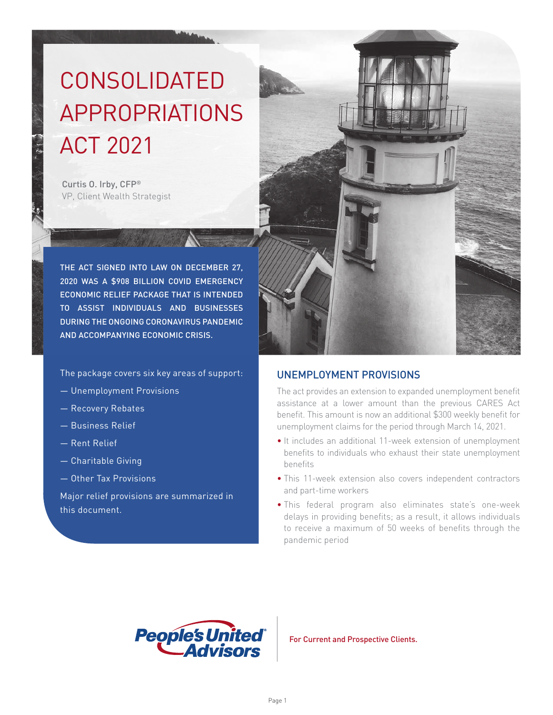# CONSOLIDATED APPROPRIATIONS ACT 2021

Curtis O. Irby, CFP® VP, Client Wealth Strategist

THE ACT SIGNED INTO LAW ON DECEMBER 27, 2020 WAS A \$908 BILLION COVID EMERGENCY ECONOMIC RELIEF PACKAGE THAT IS INTENDED TO ASSIST INDIVIDUALS AND BUSINESSES DURING THE ONGOING CORONAVIRUS PANDEMIC AND ACCOMPANYING ECONOMIC CRISIS.

The package covers six key areas of support:

- Unemployment Provisions
- Recovery Rebates
- Business Relief
- Rent Relief
- Charitable Giving
- Other Tax Provisions

Major relief provisions are summarized in this document.



### UNEMPLOYMENT PROVISIONS

The act provides an extension to expanded unemployment benefit assistance at a lower amount than the previous CARES Act benefit. This amount is now an additional \$300 weekly benefit for unemployment claims for the period through March 14, 2021.

- It includes an additional 11-week extension of unemployment benefits to individuals who exhaust their state unemployment benefits
- This 11-week extension also covers independent contractors and part-time workers
- This federal program also eliminates state's one-week delays in providing benefits; as a result, it allows individuals to receive a maximum of 50 weeks of benefits through the pandemic period



For Current and Prospective Clients.